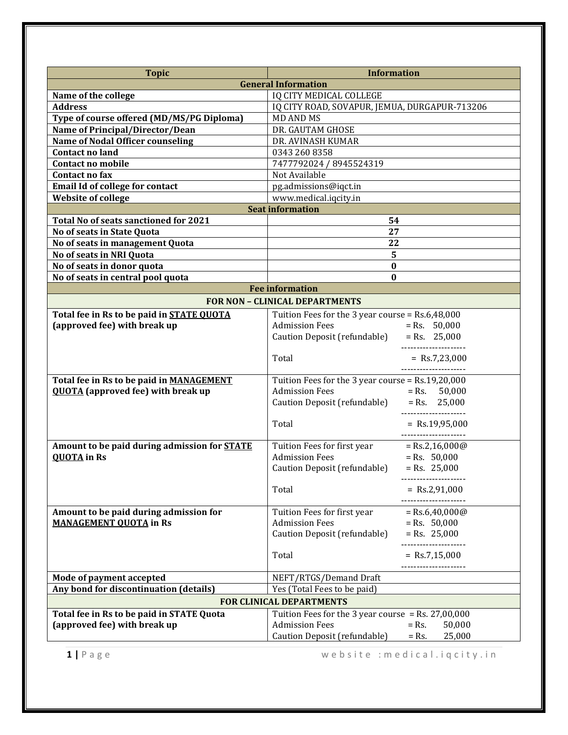| <b>Topic</b>                                                                                      | <b>Information</b><br><b>General Information</b>                                            |                                       |  |
|---------------------------------------------------------------------------------------------------|---------------------------------------------------------------------------------------------|---------------------------------------|--|
| Name of the college                                                                               | <b>IQ CITY MEDICAL COLLEGE</b>                                                              |                                       |  |
| <b>Address</b>                                                                                    |                                                                                             |                                       |  |
| Type of course offered (MD/MS/PG Diploma)                                                         | IQ CITY ROAD, SOVAPUR, JEMUA, DURGAPUR-713206<br><b>MD AND MS</b>                           |                                       |  |
| Name of Principal/Director/Dean                                                                   | DR. GAUTAM GHOSE                                                                            |                                       |  |
| <b>Name of Nodal Officer counseling</b>                                                           | DR. AVINASH KUMAR                                                                           |                                       |  |
| <b>Contact no land</b>                                                                            | 0343 260 8358                                                                               |                                       |  |
| <b>Contact no mobile</b>                                                                          | 7477792024 / 8945524319                                                                     |                                       |  |
| Contact no fax                                                                                    | Not Available                                                                               |                                       |  |
| <b>Email Id of college for contact</b>                                                            | pg.admissions@iqct.in                                                                       |                                       |  |
| <b>Website of college</b>                                                                         | www.medical.iqcity.in                                                                       |                                       |  |
|                                                                                                   | <b>Seat information</b>                                                                     |                                       |  |
| Total No of seats sanctioned for 2021<br>54                                                       |                                                                                             |                                       |  |
| No of seats in State Quota                                                                        | 27                                                                                          |                                       |  |
| No of seats in management Quota                                                                   | 22                                                                                          |                                       |  |
| No of seats in NRI Quota                                                                          | 5                                                                                           |                                       |  |
| No of seats in donor quota                                                                        | $\bf{0}$                                                                                    |                                       |  |
| No of seats in central pool quota                                                                 | $\bf{0}$                                                                                    |                                       |  |
|                                                                                                   | <b>Fee information</b>                                                                      |                                       |  |
|                                                                                                   | <b>FOR NON - CLINICAL DEPARTMENTS</b>                                                       |                                       |  |
| Total fee in Rs to be paid in STATE OUOTA                                                         |                                                                                             |                                       |  |
| (approved fee) with break up                                                                      | Tuition Fees for the 3 year course = Rs.6,48,000<br><b>Admission Fees</b><br>$=$ Rs. 50,000 |                                       |  |
|                                                                                                   | Caution Deposit (refundable)                                                                | $=$ Rs. 25,000                        |  |
|                                                                                                   |                                                                                             | ----------------------                |  |
|                                                                                                   | Total                                                                                       | $=$ Rs.7,23,000                       |  |
|                                                                                                   |                                                                                             | ---------------------                 |  |
| Total fee in Rs to be paid in MANAGEMENT                                                          | Tuition Fees for the 3 year course = Rs.19,20,000                                           |                                       |  |
| <b>QUOTA</b> (approved fee) with break up                                                         | <b>Admission Fees</b>                                                                       | $=$ Rs. 50,000                        |  |
|                                                                                                   | Caution Deposit (refundable)                                                                | $=$ Rs. 25,000                        |  |
|                                                                                                   |                                                                                             | ---------------------                 |  |
|                                                                                                   | Total                                                                                       | $=$ Rs.19,95,000                      |  |
|                                                                                                   |                                                                                             | ---------------------                 |  |
| Amount to be paid during admission for <b>STATE</b>                                               | Tuition Fees for first year                                                                 | $=$ Rs.2,16,000@                      |  |
| <b>QUOTA</b> in Rs                                                                                | <b>Admission Fees</b>                                                                       | $=$ Rs. 50,000                        |  |
|                                                                                                   | Caution Deposit (refundable)                                                                | $=$ Rs. 25,000                        |  |
|                                                                                                   | Total                                                                                       | ------------------<br>$=$ Rs.2,91,000 |  |
|                                                                                                   |                                                                                             | .                                     |  |
| Amount to be paid during admission for                                                            | Tuition Fees for first year                                                                 | $=$ Rs.6,40,000@                      |  |
| <b>MANAGEMENT OUOTA in Rs</b>                                                                     | <b>Admission Fees</b>                                                                       | $=$ Rs. 50,000                        |  |
|                                                                                                   | Caution Deposit (refundable)                                                                | $=$ Rs. 25,000                        |  |
|                                                                                                   |                                                                                             |                                       |  |
|                                                                                                   | Total                                                                                       | $=$ Rs.7,15,000                       |  |
|                                                                                                   |                                                                                             |                                       |  |
| Mode of payment accepted                                                                          | NEFT/RTGS/Demand Draft                                                                      |                                       |  |
| Any bond for discontinuation (details)                                                            | Yes (Total Fees to be paid)                                                                 |                                       |  |
| <b>FOR CLINICAL DEPARTMENTS</b>                                                                   |                                                                                             |                                       |  |
| Total fee in Rs to be paid in STATE Quota<br>Tuition Fees for the 3 year course = Rs. $27,00,000$ |                                                                                             |                                       |  |
| (approved fee) with break up                                                                      | <b>Admission Fees</b>                                                                       | $=$ Rs.<br>50,000                     |  |
|                                                                                                   | Caution Deposit (refundable)                                                                | 25,000<br>$=$ Rs.                     |  |